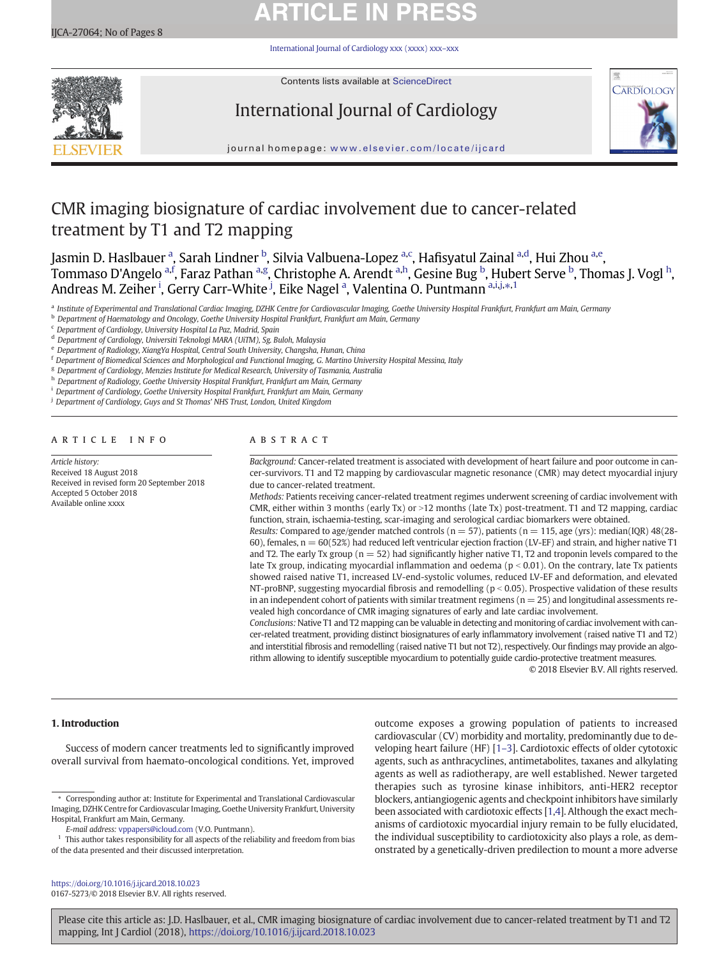# **ARTICLE IN PRESS**

[International Journal of Cardiology xxx \(xxxx\) xxx](https://doi.org/10.1016/j.ijcard.2018.10.023)–xxx



Contents lists available at [ScienceDirect](http://www.sciencedirect.com/science/journal/)

# International Journal of Cardiology



journal homepage: <www.elsevier.com/locate/ijcard>

## CMR imaging biosignature of cardiac involvement due to cancer-related treatment by T1 and T2 mapping

Jasmin D. Haslbauer <sup>a</sup>, Sarah Lindner <sup>b</sup>, Silvia Valbuena-Lopez <sup>a,c</sup>, Hafisyatul Zainal <sup>a,d</sup>, Hui Zhou <sup>a,e</sup>, Tommaso D'Angelo <sup>a,f</sup>, Faraz Pathan <sup>a,g</sup>, Christophe A. Arendt <sup>a,h</sup>, Gesine Bug <sup>b</sup>, Hubert Serve <sup>b</sup>, Thomas J. Vogl <sup>h</sup>, Andreas M. Zeiher <sup>i</sup>, Gerry Carr-White <sup>j</sup>, Eike Nagel <sup>a</sup>, Valentina O. Puntmann <sup>a,i,j,\*,1</sup>

a Institute of Experimental and Translational Cardiac Imaging, DZHK Centre for Cardiovascular Imaging, Goethe University Hospital Frankfurt, Frankfurt am Main, Germany

**b** Department of Haematology and Oncology, Goethe University Hospital Frankfurt, Frankfurt am Main, Germany

<sup>c</sup> Department of Cardiology, University Hospital La Paz, Madrid, Spain

<sup>d</sup> Department of Cardiology, Universiti Teknologi MARA (UiTM), Sg. Buloh, Malaysia

e Department of Radiology, XiangYa Hospital, Central South University, Changsha, Hunan, China

<sup>f</sup> Department of Biomedical Sciences and Morphological and Functional Imaging, G. Martino University Hospital Messina, Italy

<sup>g</sup> Department of Cardiology, Menzies Institute for Medical Research, University of Tasmania, Australia

h Department of Radiology, Goethe University Hospital Frankfurt, Frankfurt am Main, Germany

<sup>i</sup> Department of Cardiology, Goethe University Hospital Frankfurt, Frankfurt am Main, Germany

<sup>j</sup> Department of Cardiology, Guys and St Thomas' NHS Trust, London, United Kingdom

### article info abstract

Article history: Received 18 August 2018 Received in revised form 20 September 2018 Accepted 5 October 2018 Available online xxxx

Background: Cancer-related treatment is associated with development of heart failure and poor outcome in cancer-survivors. T1 and T2 mapping by cardiovascular magnetic resonance (CMR) may detect myocardial injury due to cancer-related treatment.

Methods: Patients receiving cancer-related treatment regimes underwent screening of cardiac involvement with CMR, either within 3 months (early Tx) or  $>12$  months (late Tx) post-treatment. T1 and T2 mapping, cardiac function, strain, ischaemia-testing, scar-imaging and serological cardiac biomarkers were obtained.

Results: Compared to age/gender matched controls ( $n = 57$ ), patients ( $n = 115$ , age (yrs): median(IQR) 48(28-60), females,  $n = 60(52%)$  had reduced left ventricular ejection fraction (LV-EF) and strain, and higher native T1 and T2. The early Tx group ( $n = 52$ ) had significantly higher native T1, T2 and troponin levels compared to the late Tx group, indicating myocardial inflammation and oedema ( $p < 0.01$ ). On the contrary, late Tx patients showed raised native T1, increased LV-end-systolic volumes, reduced LV-EF and deformation, and elevated NT-proBNP, suggesting myocardial fibrosis and remodelling ( $p < 0.05$ ). Prospective validation of these results in an independent cohort of patients with similar treatment regimens ( $n = 25$ ) and longitudinal assessments revealed high concordance of CMR imaging signatures of early and late cardiac involvement.

Conclusions: Native T1 and T2 mapping can be valuable in detecting and monitoring of cardiac involvement with cancer-related treatment, providing distinct biosignatures of early inflammatory involvement (raised native T1 and T2) and interstitial fibrosis and remodelling (raised native T1 but not T2), respectively. Our findings may provide an algorithm allowing to identify susceptible myocardium to potentially guide cardio-protective treatment measures.

© 2018 Elsevier B.V. All rights reserved.

### 1. Introduction

Success of modern cancer treatments led to significantly improved overall survival from haemato-oncological conditions. Yet, improved

E-mail address: <vppapers@icloud.com> (V.O. Puntmann).

outcome exposes a growing population of patients to increased cardiovascular (CV) morbidity and mortality, predominantly due to developing heart failure (HF) [\[1](#page-6-0)–3]. Cardiotoxic effects of older cytotoxic agents, such as anthracyclines, antimetabolites, taxanes and alkylating agents as well as radiotherapy, are well established. Newer targeted therapies such as tyrosine kinase inhibitors, anti-HER2 receptor blockers, antiangiogenic agents and checkpoint inhibitors have similarly been associated with cardiotoxic effects [[1,4](#page-6-0)]. Although the exact mechanisms of cardiotoxic myocardial injury remain to be fully elucidated, the individual susceptibility to cardiotoxicity also plays a role, as demonstrated by a genetically-driven predilection to mount a more adverse

<https://doi.org/10.1016/j.ijcard.2018.10.023> 0167-5273/© 2018 Elsevier B.V. All rights reserved.

<sup>⁎</sup> Corresponding author at: Institute for Experimental and Translational Cardiovascular Imaging, DZHK Centre for Cardiovascular Imaging, Goethe University Frankfurt, University Hospital, Frankfurt am Main, Germany.

 $^{\rm 1}$  This author takes responsibility for all aspects of the reliability and freedom from bias of the data presented and their discussed interpretation.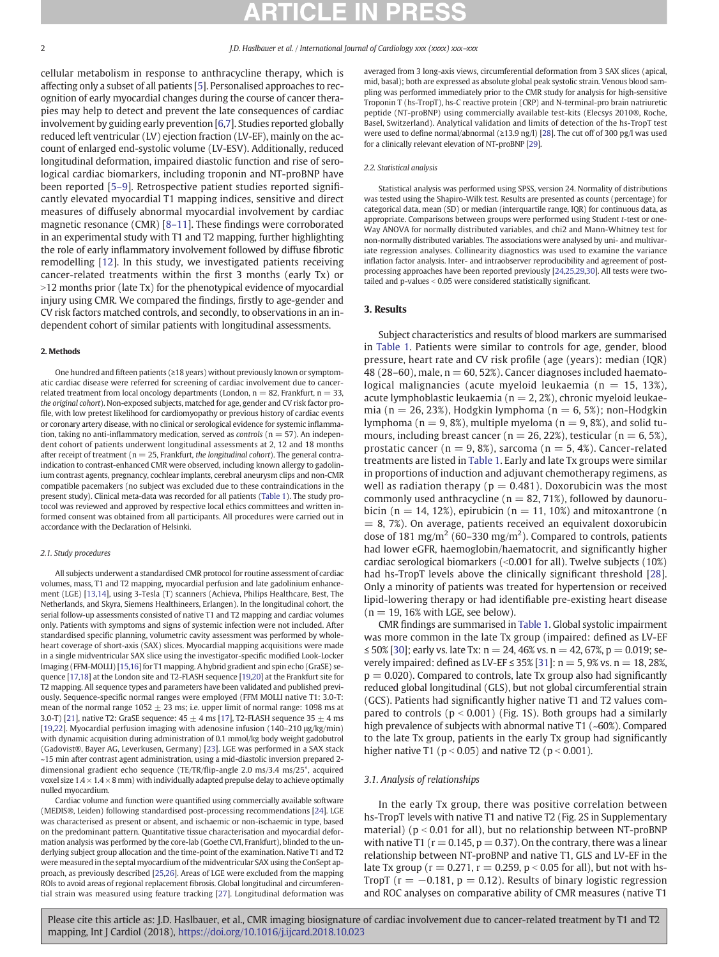<span id="page-1-0"></span>cellular metabolism in response to anthracycline therapy, which is affecting only a subset of all patients [[5](#page-6-0)]. Personalised approaches to recognition of early myocardial changes during the course of cancer therapies may help to detect and prevent the late consequences of cardiac involvement by guiding early prevention [[6](#page-6-0),[7](#page-6-0)]. Studies reported globally reduced left ventricular (LV) ejection fraction (LV-EF), mainly on the account of enlarged end-systolic volume (LV-ESV). Additionally, reduced longitudinal deformation, impaired diastolic function and rise of serological cardiac biomarkers, including troponin and NT-proBNP have been reported [5–[9\]](#page-6-0). Retrospective patient studies reported significantly elevated myocardial T1 mapping indices, sensitive and direct measures of diffusely abnormal myocardial involvement by cardiac magnetic resonance (CMR) [8–[11\]](#page-6-0). These findings were corroborated in an experimental study with T1 and T2 mapping, further highlighting the role of early inflammatory involvement followed by diffuse fibrotic remodelling [[12\]](#page-6-0). In this study, we investigated patients receiving cancer-related treatments within the first 3 months (early Tx) or >12 months prior (late Tx) for the phenotypical evidence of myocardial injury using CMR. We compared the findings, firstly to age-gender and CV risk factors matched controls, and secondly, to observations in an independent cohort of similar patients with longitudinal assessments.

### 2. Methods

One hundred and fifteen patients (≥18 years) without previously known or symptomatic cardiac disease were referred for screening of cardiac involvement due to cancerrelated treatment from local oncology departments (London,  $n = 82$ , Frankfurt,  $n = 33$ , the original cohort). Non-exposed subjects, matched for age, gender and CV risk factor profile, with low pretest likelihood for cardiomyopathy or previous history of cardiac events or coronary artery disease, with no clinical or serological evidence for systemic inflammation, taking no anti-inflammatory medication, served as *controls* ( $n = 57$ ). An independent cohort of patients underwent longitudinal assessments at 2, 12 and 18 months after receipt of treatment ( $n = 25$ , Frankfurt, the longitudinal cohort). The general contraindication to contrast-enhanced CMR were observed, including known allergy to gadolinium contrast agents, pregnancy, cochlear implants, cerebral aneurysm clips and non-CMR compatible pacemakers (no subject was excluded due to these contraindications in the present study). Clinical meta-data was recorded for all patients ([Table 1](#page-2-0)). The study protocol was reviewed and approved by respective local ethics committees and written informed consent was obtained from all participants. All procedures were carried out in accordance with the Declaration of Helsinki.

### 2.1. Study procedures

All subjects underwent a standardised CMR protocol for routine assessment of cardiac volumes, mass, T1 and T2 mapping, myocardial perfusion and late gadolinium enhancement (LGE) [[13](#page-6-0),[14](#page-6-0)], using 3-Tesla (T) scanners (Achieva, Philips Healthcare, Best, The Netherlands, and Skyra, Siemens Healthineers, Erlangen). In the longitudinal cohort, the serial follow-up assessments consisted of native T1 and T2 mapping and cardiac volumes only. Patients with symptoms and signs of systemic infection were not included. After standardised specific planning, volumetric cavity assessment was performed by wholeheart coverage of short-axis (SAX) slices. Myocardial mapping acquisitions were made in a single midventricular SAX slice using the investigator-specific modified Look-Locker Imaging (FFM-MOLLI) [\[15](#page-6-0),[16\]](#page-6-0) for T1 mapping. A hybrid gradient and spin echo (GraSE) sequence [[17,18](#page-6-0)] at the London site and T2-FLASH sequence [\[19](#page-6-0),[20\]](#page-6-0) at the Frankfurt site for T2 mapping. All sequence types and parameters have been validated and published previously. Sequence-specific normal ranges were employed (FFM MOLLI native T1: 3.0-T: mean of the normal range  $1052 \pm 23$  ms; i.e. upper limit of normal range: 1098 ms at 3.0-T) [\[21](#page-6-0)], native T2: GraSE sequence:  $45 \pm 4$  ms [[17](#page-6-0)], T2-FLASH sequence  $35 \pm 4$  ms [[19](#page-6-0),[22](#page-6-0)]. Myocardial perfusion imaging with adenosine infusion (140–210 μg/kg/min) with dynamic acquisition during administration of 0.1 mmol/kg body weight gadobutrol (Gadovist®, Bayer AG, Leverkusen, Germany) [\[23\]](#page-6-0). LGE was performed in a SAX stack ~15 min after contrast agent administration, using a mid-diastolic inversion prepared 2 dimensional gradient echo sequence (TE/TR/flip-angle 2.0 ms/3.4 ms/25°, acquired voxel size  $1.4 \times 1.4 \times 8$  mm) with individually adapted prepulse delay to achieve optimally nulled myocardium.

Cardiac volume and function were quantified using commercially available software (MEDIS®, Leiden) following standardised post-processing recommendations [[24](#page-6-0)]. LGE was characterised as present or absent, and ischaemic or non-ischaemic in type, based on the predominant pattern. Quantitative tissue characterisation and myocardial deformation analysis was performed by the core-lab (Goethe CVI, Frankfurt), blinded to the underlying subject group allocation and the time-point of the examination. Native T1 and T2 were measured in the septal myocardium of the midventricular SAX using the ConSept approach, as previously described [\[25,26](#page-6-0)]. Areas of LGE were excluded from the mapping ROIs to avoid areas of regional replacement fibrosis. Global longitudinal and circumferential strain was measured using feature tracking [[27](#page-6-0)]. Longitudinal deformation was averaged from 3 long-axis views, circumferential deformation from 3 SAX slices (apical, mid, basal); both are expressed as absolute global peak systolic strain. Venous blood sampling was performed immediately prior to the CMR study for analysis for high-sensitive Troponin T (hs-TropT), hs-C reactive protein (CRP) and N-terminal-pro brain natriuretic peptide (NT-proBNP) using commercially available test-kits (Elecsys 2010®, Roche, Basel, Switzerland). Analytical validation and limits of detection of the hs-TropT test were used to define normal/abnormal (≥13.9 ng/l) [\[28\]](#page-6-0). The cut off of 300 pg/l was used for a clinically relevant elevation of NT-proBNP [\[29](#page-6-0)].

### 2.2. Statistical analysis

Statistical analysis was performed using SPSS, version 24. Normality of distributions was tested using the Shapiro-Wilk test. Results are presented as counts (percentage) for categorical data, mean (SD) or median (interquartile range, IQR) for continuous data, as appropriate. Comparisons between groups were performed using Student t-test or one-Way ANOVA for normally distributed variables, and chi2 and Mann-Whitney test for non-normally distributed variables. The associations were analysed by uni- and multivariate regression analyses. Collinearity diagnostics was used to examine the variance inflation factor analysis. Inter- and intraobserver reproducibility and agreement of postprocessing approaches have been reported previously [[24](#page-6-0),[25,29](#page-6-0),[30\]](#page-6-0). All tests were twotailed and p-values  $< 0.05$  were considered statistically significant.

### 3. Results

Subject characteristics and results of blood markers are summarised in [Table 1](#page-2-0). Patients were similar to controls for age, gender, blood pressure, heart rate and CV risk profile (age (years): median (IQR) 48 (28-60), male,  $n = 60, 52\%$ ). Cancer diagnoses included haematological malignancies (acute myeloid leukaemia ( $n = 15, 13\%$ ), acute lymphoblastic leukaemia ( $n = 2, 2\%)$ , chronic myeloid leukaemia (n = 26, 23%), Hodgkin lymphoma (n = 6, 5%); non-Hodgkin lymphoma ( $n = 9, 8\%)$ , multiple myeloma ( $n = 9, 8\%)$ , and solid tumours, including breast cancer ( $n = 26, 22\%$ ), testicular ( $n = 6, 5\%$ ), prostatic cancer ( $n = 9, 8\%$ ), sarcoma ( $n = 5, 4\%$ ). Cancer-related treatments are listed in [Table 1](#page-2-0). Early and late Tx groups were similar in proportions of induction and adjuvant chemotherapy regimens, as well as radiation therapy ( $p = 0.481$ ). Doxorubicin was the most commonly used anthracycline ( $n = 82, 71\%$ ), followed by daunorubicin ( $n = 14$ , 12%), epirubicin ( $n = 11$ , 10%) and mitoxantrone ( $n$  $= 8, 7\%)$ . On average, patients received an equivalent doxorubicin dose of 181 mg/m<sup>2</sup> (60–330 mg/m<sup>2</sup>). Compared to controls, patients had lower eGFR, haemoglobin/haematocrit, and significantly higher cardiac serological biomarkers  $\left($  < 0.001 for all). Twelve subjects (10%) had hs-TropT levels above the clinically significant threshold [[28](#page-6-0)]. Only a minority of patients was treated for hypertension or received lipid-lowering therapy or had identifiable pre-existing heart disease  $(n = 19, 16\%)$  with LGE, see below).

CMR findings are summarised in [Table 1.](#page-2-0) Global systolic impairment was more common in the late Tx group (impaired: defined as LV-EF ≤ 50% [\[30\]](#page-6-0); early vs. late Tx: n = 24, 46% vs. n = 42, 67%, p = 0.019; se-verely impaired: defined as LV-EF ≤ 35% [\[31\]](#page-7-0):  $n = 5,9%$  vs.  $n = 18,28%$ ,  $p = 0.020$ ). Compared to controls, late Tx group also had significantly reduced global longitudinal (GLS), but not global circumferential strain (GCS). Patients had significantly higher native T1 and T2 values compared to controls ( $p < 0.001$ ) (Fig. 1S). Both groups had a similarly high prevalence of subjects with abnormal native T1 (~60%). Compared to the late Tx group, patients in the early Tx group had significantly higher native T1 ( $p < 0.05$ ) and native T2 ( $p < 0.001$ ).

### 3.1. Analysis of relationships

In the early Tx group, there was positive correlation between hs-TropT levels with native T1 and native T2 (Fig. 2S in Supplementary material) ( $p < 0.01$  for all), but no relationship between NT-proBNP with native T1 ( $r = 0.145$ ,  $p = 0.37$ ). On the contrary, there was a linear relationship between NT-proBNP and native T1, GLS and LV-EF in the late Tx group ( $r = 0.271$ ,  $r = 0.259$ ,  $p < 0.05$  for all), but not with hs-TropT ( $r = -0.181$ ,  $p = 0.12$ ). Results of binary logistic regression and ROC analyses on comparative ability of CMR measures (native T1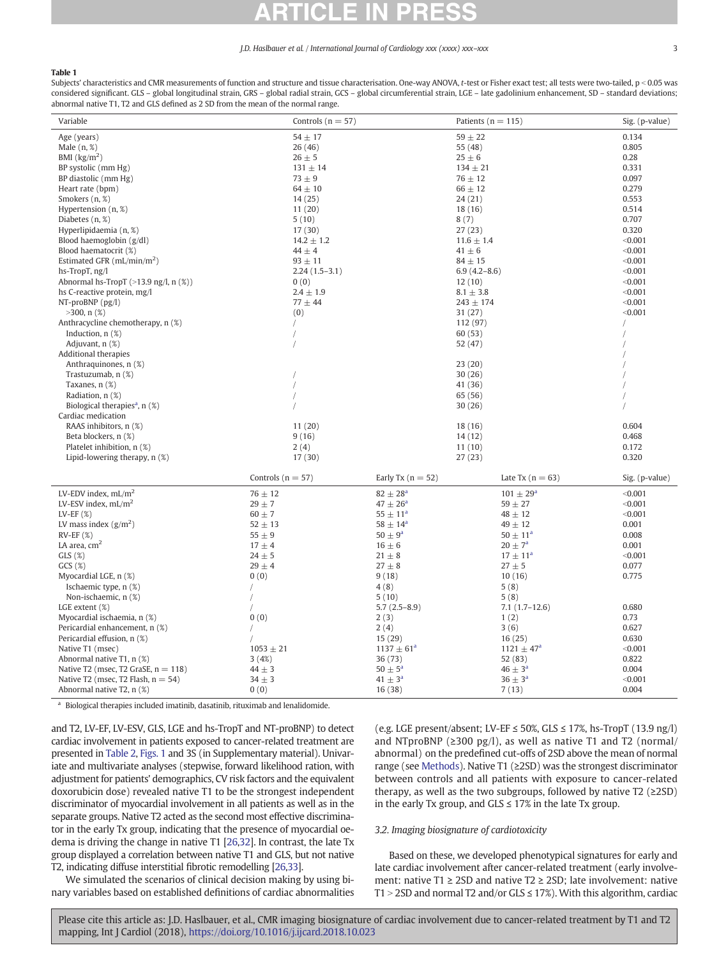### <span id="page-2-0"></span>Table 1

Subjects' characteristics and CMR measurements of function and structure and tissue characterisation. One-way ANOVA, t-test or Fisher exact test; all tests were two-tailed, p < 0.05 was considered significant. GLS – global longitudinal strain, GRS – global radial strain, GCS – global circumferential strain, LGE – late gadolinium enhancement, SD – standard deviations; abnormal native T1, T2 and GLS defined as 2 SD from the mean of the normal range.

| $54 \pm 17$<br>$59 + 22$<br>Age (years)<br>0.134<br>0.805<br>26(46)<br>55 (48)<br>Male $(n, %)$<br>BMI $(kg/m2)$<br>$25 \pm 6$<br>0.28<br>$26 \pm 5$<br>0.331<br>BP systolic (mm Hg)<br>$131 \pm 14$<br>$134 \pm 21$<br>$73 \pm 9$<br>$76 \pm 12$<br>0.097<br>BP diastolic (mm Hg)<br>$64 \pm 10$<br>$66 \pm 12$<br>Heart rate (bpm)<br>0.279<br>Smokers (n, %)<br>14(25)<br>24(21)<br>0.553<br>Hypertension (n, %)<br>11(20)<br>18 (16)<br>0.514<br>5(10)<br>8(7)<br>0.707<br>Diabetes $(n, %$ |
|-------------------------------------------------------------------------------------------------------------------------------------------------------------------------------------------------------------------------------------------------------------------------------------------------------------------------------------------------------------------------------------------------------------------------------------------------------------------------------------------------|
|                                                                                                                                                                                                                                                                                                                                                                                                                                                                                                 |
|                                                                                                                                                                                                                                                                                                                                                                                                                                                                                                 |
|                                                                                                                                                                                                                                                                                                                                                                                                                                                                                                 |
|                                                                                                                                                                                                                                                                                                                                                                                                                                                                                                 |
|                                                                                                                                                                                                                                                                                                                                                                                                                                                                                                 |
|                                                                                                                                                                                                                                                                                                                                                                                                                                                                                                 |
|                                                                                                                                                                                                                                                                                                                                                                                                                                                                                                 |
|                                                                                                                                                                                                                                                                                                                                                                                                                                                                                                 |
|                                                                                                                                                                                                                                                                                                                                                                                                                                                                                                 |
| 17(30)<br>27(23)<br>0.320<br>Hyperlipidaemia (n, %)                                                                                                                                                                                                                                                                                                                                                                                                                                             |
| $14.2 \pm 1.2$<br>$11.6 \pm 1.4$<br>< 0.001<br>Blood haemoglobin (g/dl)                                                                                                                                                                                                                                                                                                                                                                                                                         |
| $44 \pm 4$<br>< 0.001<br>Blood haematocrit (%)<br>$41 \pm 6$                                                                                                                                                                                                                                                                                                                                                                                                                                    |
| Estimated GFR $(mL/min/m2)$<br>$93 \pm 11$<br>$84 \pm 15$<br>< 0.001                                                                                                                                                                                                                                                                                                                                                                                                                            |
| < 0.001<br>hs-TropT, ng/l<br>$2.24(1.5-3.1)$<br>$6.9(4.2 - 8.6)$                                                                                                                                                                                                                                                                                                                                                                                                                                |
| Abnormal hs-TropT $(>13.9 \text{ ng/l}, n (\%)$<br>< 0.001<br>0(0)<br>12(10)                                                                                                                                                                                                                                                                                                                                                                                                                    |
| hs C-reactive protein, mg/l<br>$2.4 \pm 1.9$<br>$8.1 \pm 3.8$<br>< 0.001                                                                                                                                                                                                                                                                                                                                                                                                                        |
| < 0.001<br>$NT-proBNP$ ( $pg/l$ )<br>$77 + 44$<br>$243 \pm 174$                                                                                                                                                                                                                                                                                                                                                                                                                                 |
| $>300$ , n $(\%)$<br>< 0.001<br>(0)<br>31(27)                                                                                                                                                                                                                                                                                                                                                                                                                                                   |
| Anthracycline chemotherapy, n (%)<br>112 (97)                                                                                                                                                                                                                                                                                                                                                                                                                                                   |
| Induction, $n$ $(\%)$<br>60(53)                                                                                                                                                                                                                                                                                                                                                                                                                                                                 |
| Adjuvant, n (%)<br>52 (47)                                                                                                                                                                                                                                                                                                                                                                                                                                                                      |
| Additional therapies                                                                                                                                                                                                                                                                                                                                                                                                                                                                            |
| 23(20)                                                                                                                                                                                                                                                                                                                                                                                                                                                                                          |
| Anthraquinones, n (%)                                                                                                                                                                                                                                                                                                                                                                                                                                                                           |
| 30(26)<br>Trastuzumab, n (%)                                                                                                                                                                                                                                                                                                                                                                                                                                                                    |
| Taxanes, n (%)<br>41 (36)                                                                                                                                                                                                                                                                                                                                                                                                                                                                       |
| Radiation, n (%)<br>65 (56)                                                                                                                                                                                                                                                                                                                                                                                                                                                                     |
| Biological therapies <sup>a</sup> , $n$ (%)<br>30(26)                                                                                                                                                                                                                                                                                                                                                                                                                                           |
| Cardiac medication                                                                                                                                                                                                                                                                                                                                                                                                                                                                              |
| RAAS inhibitors, n (%)<br>11(20)<br>18 (16)<br>0.604                                                                                                                                                                                                                                                                                                                                                                                                                                            |
| Beta blockers, n (%)<br>9(16)<br>14(12)<br>0.468                                                                                                                                                                                                                                                                                                                                                                                                                                                |
| Platelet inhibition, n (%)<br>0.172<br>2(4)<br>11(10)                                                                                                                                                                                                                                                                                                                                                                                                                                           |
| Lipid-lowering therapy, n (%)<br>17(30)<br>0.320<br>27(23)                                                                                                                                                                                                                                                                                                                                                                                                                                      |
| Controls ( $n = 57$ )<br>Early Tx $(n = 52)$<br>Late Tx $(n = 63)$<br>Sig. (p-value)                                                                                                                                                                                                                                                                                                                                                                                                            |
| LV-EDV index, $mL/m2$<br>$76 \pm 12$<br>$82 \pm 28^{\rm a}$<br>$101 \pm 29^{\rm a}$<br>< 0.001                                                                                                                                                                                                                                                                                                                                                                                                  |
| LV-ESV index, $mL/m2$<br>$29 \pm 7$<br>$47 \pm 26^{\circ}$<br>$59 + 27$<br>< 0.001                                                                                                                                                                                                                                                                                                                                                                                                              |
| $55 \pm 11^{a}$<br>$60 \pm 7$<br>$48 \pm 12$<br>< 0.001<br>LV-EF $(\%)$                                                                                                                                                                                                                                                                                                                                                                                                                         |
| $58 \pm 14^{\rm a}$<br>LV mass index $(g/m^2)$<br>$52 \pm 13$<br>$49 \pm 12$<br>0.001                                                                                                                                                                                                                                                                                                                                                                                                           |
| $50 \pm 9^{\circ}$<br>$50 \pm 11^{a}$<br>$RV-EF$ (%)<br>$55 \pm 9$<br>0.008                                                                                                                                                                                                                                                                                                                                                                                                                     |
| LA area, $cm2$<br>$20 \pm 7^a$<br>$17 \pm 4$<br>$16 \pm 6$<br>0.001                                                                                                                                                                                                                                                                                                                                                                                                                             |
| $17 \pm 11^{a}$<br>GLS(%)<br>$24 \pm 5$<br>$21\pm8$<br>< 0.001                                                                                                                                                                                                                                                                                                                                                                                                                                  |
| GCS(%)<br>$29 \pm 4$<br>$27 \pm 8$<br>$27 \pm 5$<br>0.077                                                                                                                                                                                                                                                                                                                                                                                                                                       |
| 0(0)<br>9(18)<br>0.775<br>Myocardial LGE, n (%)<br>10(16)                                                                                                                                                                                                                                                                                                                                                                                                                                       |
| Ischaemic type, n (%)<br>4(8)<br>5(8)                                                                                                                                                                                                                                                                                                                                                                                                                                                           |
| Non-ischaemic, n (%)<br>5(10)<br>5(8)                                                                                                                                                                                                                                                                                                                                                                                                                                                           |
| LGE extent (%)<br>$5.7(2.5-8.9)$<br>$7.1(1.7-12.6)$<br>0.680                                                                                                                                                                                                                                                                                                                                                                                                                                    |
| 0.73<br>Myocardial ischaemia, n (%)<br>0(0)<br>2(3)<br>1(2)                                                                                                                                                                                                                                                                                                                                                                                                                                     |
| 0.627<br>Pericardial enhancement, n (%)<br>2(4)<br>3(6)<br>$\sqrt{2}$                                                                                                                                                                                                                                                                                                                                                                                                                           |
| Pericardial effusion, n (%)<br>15(29)<br>16(25)<br>0.630                                                                                                                                                                                                                                                                                                                                                                                                                                        |
| < 0.001<br>Native T1 (msec)<br>$1053 \pm 21$<br>$1137 \pm 61^a$<br>$1121 \pm 47^a$                                                                                                                                                                                                                                                                                                                                                                                                              |
| Abnormal native T1, n (%)<br>36(73)<br>0.822<br>3(4%)<br>52 (83)                                                                                                                                                                                                                                                                                                                                                                                                                                |
| $50 \pm 5^{\circ}$<br>$46 \pm 3^a$<br>Native T2 (msec, T2 GraSE, $n = 118$ )<br>$44 \pm 3$<br>0.004                                                                                                                                                                                                                                                                                                                                                                                             |
| $34 \pm 3$<br>$41 \pm 3^a$<br>$36 \pm 3^a$                                                                                                                                                                                                                                                                                                                                                                                                                                                      |
| Native T2 (msec, T2 Flash, $n = 54$ )<br>< 0.001<br>16(38)<br>0.004<br>Abnormal native T2, n (%)<br>0(0)<br>7(13)                                                                                                                                                                                                                                                                                                                                                                               |
| a - Diala siaal da amarina in alcula di imaggiu ila da aggiu ile migraturale nu di langi ile aggiu a                                                                                                                                                                                                                                                                                                                                                                                            |

<sup>a</sup> Biological therapies included imatinib, dasatinib, rituximab and lenalidomide.

and T2, LV-EF, LV-ESV, GLS, LGE and hs-TropT and NT-proBNP) to detect cardiac involvement in patients exposed to cancer-related treatment are presented in [Table 2,](#page-3-0) [Figs. 1](#page-4-0) and 3S (in Supplementary material). Univariate and multivariate analyses (stepwise, forward likelihood ration, with adjustment for patients' demographics, CV risk factors and the equivalent doxorubicin dose) revealed native T1 to be the strongest independent discriminator of myocardial involvement in all patients as well as in the separate groups. Native T2 acted as the second most effective discriminator in the early Tx group, indicating that the presence of myocardial oedema is driving the change in native T1 [\[26](#page-6-0)[,32](#page-7-0)]. In contrast, the late Tx group displayed a correlation between native T1 and GLS, but not native T2, indicating diffuse interstitial fibrotic remodelling [\[26](#page-6-0)[,33\]](#page-7-0).

We simulated the scenarios of clinical decision making by using binary variables based on established definitions of cardiac abnormalities (e.g. LGE present/absent; LV-EF ≤ 50%, GLS ≤ 17%, hs-TropT (13.9 ng/l) and NTproBNP (≥300 pg/l), as well as native T1 and T2 (normal/ abnormal) on the predefined cut-offs of 2SD above the mean of normal range (see [Methods](#page-1-0)). Native T1 (≥2SD) was the strongest discriminator between controls and all patients with exposure to cancer-related therapy, as well as the two subgroups, followed by native T2 (≥2SD) in the early Tx group, and  $GLS \le 17\%$  in the late Tx group.

### 3.2. Imaging biosignature of cardiotoxicity

Based on these, we developed phenotypical signatures for early and late cardiac involvement after cancer-related treatment (early involvement: native T1 ≥ 2SD and native T2 ≥ 2SD; late involvement: native T1 > 2SD and normal T2 and/or GLS  $\leq$  17%). With this algorithm, cardiac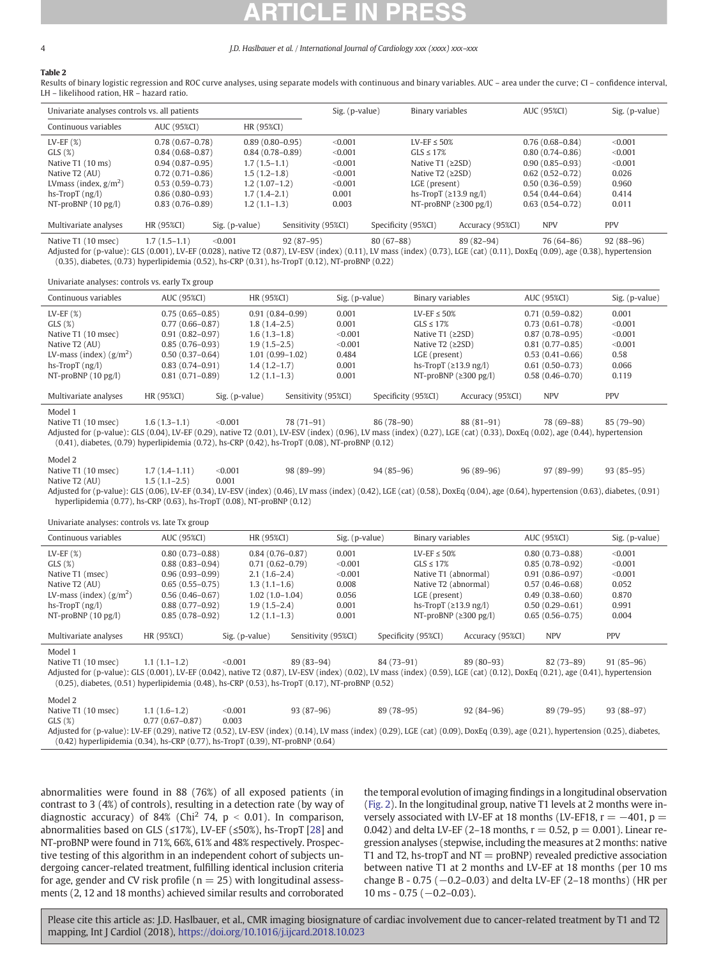## <span id="page-3-0"></span>Table 2

Results of binary logistic regression and ROC curve analyses, using separate models with continuous and binary variables. AUC – area under the curve; CI – confidence interval, LH – likelihood ration, HR – hazard ratio.

| Univariate analyses controls vs. all patients |                     |                     |                     | Sig. (p-value) |                     | Binary variables                    |                  | AUC (95%CI)         |  | Sig. (p-value) |  |
|-----------------------------------------------|---------------------|---------------------|---------------------|----------------|---------------------|-------------------------------------|------------------|---------------------|--|----------------|--|
| Continuous variables                          | AUC (95%CI)         | HR (95%CI)          |                     |                |                     |                                     |                  |                     |  |                |  |
| LV-EF $(\%)$                                  | $0.78(0.67-0.78)$   | $0.89(0.80 - 0.95)$ |                     | < 0.001        |                     | LV-EF $\leq$ 50%                    |                  | $0.76(0.68 - 0.84)$ |  | < 0.001        |  |
| GLS(%)                                        | $0.84(0.68 - 0.87)$ | $0.84(0.78 - 0.89)$ |                     | < 0.001        |                     | $GIS \leq 17\%$                     |                  | $0.80(0.74 - 0.86)$ |  | < 0.001        |  |
| Native T1 (10 ms)                             | $0.94(0.87-0.95)$   | $1.7(1.5-1.1)$      |                     | < 0.001        |                     | Native T1 $(22SD)$                  |                  | $0.90(0.85 - 0.93)$ |  | < 0.001        |  |
| Native T2 (AU)                                | $0.72(0.71 - 0.86)$ | $1.5(1.2-1.8)$      |                     | < 0.001        |                     | Native $T2$ ( $\geq$ 2SD)           |                  | $0.62(0.52 - 0.72)$ |  | 0.026          |  |
| LV mass (index, $g/m^2$ )                     | $0.53(0.59-0.73)$   | $1.2(1.07-1.2)$     |                     | < 0.001        |                     | LGE (present)                       |                  | $0.50(0.36 - 0.59)$ |  | 0.960          |  |
| $hs-TropT$ ( $ng/l$ )                         | $0.86(0.80-0.93)$   | $1.7(1.4-2.1)$      |                     | 0.001          |                     | hs-TropT $(\geq 13.9 \text{ ng/l})$ |                  | $0.54(0.44 - 0.64)$ |  | 0.414          |  |
| NT-proBNP $(10 \text{ pg/l})$                 | $0.83(0.76-0.89)$   | $1.2(1.1-1.3)$      |                     | 0.003          |                     | NT-proBNP $(2300 \text{ pg/l})$     |                  | $0.63(0.54-0.72)$   |  | 0.011          |  |
| Multivariate analyses                         | HR (95%CI)          | Sig. (p-value)      | Sensitivity (95%CI) |                | Specificity (95%CI) |                                     | Accuracy (95%CI) | <b>NPV</b>          |  | <b>PPV</b>     |  |

Native T1 (10 msec) 1.7 (1.5–1.1) <0.001 92 (87–95) 80 (67–88) 89 (82–94) 76 (64–86) 92 (88–96) Adjusted for (p-value): GLS (0.001), LV-EF (0.028), native T2 (0.87), LV-ESV (index) (0.11), LV mass (index) (0.73), LGE (cat) (0.11), DoxEq (0.09), age (0.38), hypertension (0.35), diabetes, (0.73) hyperlipidemia (0.52), hs-CRP (0.31), hs-TropT (0.12), NT-proBNP (0.22)

Univariate analyses: controls vs. early Tx group

| Continuous variables           | AUC (95%CI)         | HR (95%CI)     |                     | Sig. (p-value) | Binary variables    |                                     | AUC (95%CI)         | Sig. (p-value) |  |
|--------------------------------|---------------------|----------------|---------------------|----------------|---------------------|-------------------------------------|---------------------|----------------|--|
| $LV-EF(%)$                     | $0.75(0.65 - 0.85)$ |                | $0.91(0.84 - 0.99)$ | 0.001          | LV-EF $\leq$ 50%    |                                     | $0.71(0.59 - 0.82)$ | 0.001          |  |
| GLS(%)                         | $0.77(0.66 - 0.87)$ | $1.8(1.4-2.5)$ |                     | 0.001          | $GI.S \leq 17\%$    |                                     | $0.73(0.61 - 0.78)$ | < 0.001        |  |
| Native T1 (10 msec)            | $0.91(0.82 - 0.97)$ | $1.6(1.3-1.8)$ |                     | < 0.001        |                     | Native T1 $(22SD)$                  | $0.87(0.78 - 0.95)$ | < 0.001        |  |
| Native T <sub>2</sub> (AU)     | $0.85(0.76-0.93)$   | $1.9(1.5-2.5)$ |                     | < 0.001        |                     | Native $T2$ ( $\geq$ 2SD)           | $0.81(0.77-0.85)$   | < 0.001        |  |
| LV-mass (index) $(g/m^2)$      | $0.50(0.37-0.64)$   |                | 1.01 (0.99-1.02)    | 0.484          | LGE (present)       |                                     | $0.53(0.41 - 0.66)$ | 0.58           |  |
| hs-TropT $(ng/l)$              | $0.83(0.74-0.91)$   | $1.4(1.2-1.7)$ |                     | 0.001          |                     | hs-TropT $(\geq 13.9 \text{ ng/l})$ | $0.61(0.50-0.73)$   | 0.066          |  |
| NT-proBNP $(10 \text{ pg/l})$  | $0.81(0.71 - 0.89)$ | $1.2(1.1-1.3)$ |                     | 0.001          |                     | NT-proBNP $(\geq 300 \text{ pg/l})$ | $0.58(0.46 - 0.70)$ | 0.119          |  |
| Multivariate analyses          | HR (95%CI)          | Sig. (p-value) | Sensitivity (95%CI) |                | Specificity (95%CI) | Accuracy (95%CI)                    | <b>NPV</b>          | <b>PPV</b>     |  |
| Model 1<br>Native T1 (10 msec) | $1.6(1.3-1.1)$      | < 0.001        | 78 (71-91)          |                | 86 (78-90)          | $88(81-91)$                         | 78 (69-88)          | 85 (79-90)     |  |

Adjusted for (p-value): GLS (0.04), LV-EF (0.29), native T2 (0.01), LV-ESV (index) (0.96), LV mass (index) (0.27), LGE (cat) (0.33), DoxEq (0.02), age (0.44), hypertension (0.41), diabetes, (0.79) hyperlipidemia (0.72), hs-CRP (0.42), hs-TropT (0.08), NT-proBNP (0.12)

Model 2

Native T1 (10 msec) 1.7 (1.4–1.11)  $\leq 0.001$  98 (89–99) 94 (85–96) 96 (89–96) 97 (89–99) 93 (85–95)<br>Native T2 (AU) 1.5 (1.1–2.5) 0.001 Native T2 (AU)

Adjusted for (p-value): GLS (0.06), LV-EF (0.34), LV-ESV (index) (0.46), LV mass (index) (0.42), LGE (cat) (0.58), DoxEq (0.04), age (0.64), hypertension (0.63), diabetes, (0.91) hyperlipidemia (0.77), hs-CRP (0.63), hs-TropT (0.08), NT-proBNP (0.12)

Univariate analyses: controls vs. late Tx group

| Continuous variables                                                                                                                                                              | AUC (95%CI)         | HR (95%CI)          |                     | Sig. (p-value) |                     | Binary variables                    |                  |  | AUC (95%CI)         | Sig. (p-value) |
|-----------------------------------------------------------------------------------------------------------------------------------------------------------------------------------|---------------------|---------------------|---------------------|----------------|---------------------|-------------------------------------|------------------|--|---------------------|----------------|
| LV-EF $(\%)$                                                                                                                                                                      | $0.80(0.73 - 0.88)$ | $0.84(0.76 - 0.87)$ |                     | 0.001          |                     | LV-EF $\leq$ 50%                    |                  |  | $0.80(0.73 - 0.88)$ | < 0.001        |
| GLS(%)                                                                                                                                                                            | $0.88(0.83 - 0.94)$ | $0.71(0.62 - 0.79)$ |                     | < 0.001        |                     | $GLS \leq 17\%$                     |                  |  | $0.85(0.78 - 0.92)$ | < 0.001        |
| Native T1 (msec)                                                                                                                                                                  | $0.96(0.93 - 0.99)$ | $2.1(1.6-2.4)$      |                     | < 0.001        |                     | Native T1 (abnormal)                |                  |  | $0.91(0.86 - 0.97)$ | < 0.001        |
| Native T <sub>2</sub> (AU)                                                                                                                                                        | $0.65(0.55 - 0.75)$ | $1.3(1.1-1.6)$      |                     | 0.008          |                     | Native T2 (abnormal)                |                  |  | $0.57(0.46 - 0.68)$ | 0.052          |
| LV-mass (index) $(g/m^2)$                                                                                                                                                         | $0.56(0.46 - 0.67)$ | $1.02(1.0-1.04)$    |                     | 0.056          |                     | LGE (present)                       |                  |  | $0.49(0.38 - 0.60)$ | 0.870          |
| $hs-TropT$ ( $ng/l$ )                                                                                                                                                             | $0.88(0.77-0.92)$   | $1.9(1.5-2.4)$      |                     | 0.001          |                     | hs-TropT $(\geq 13.9 \text{ ng/l})$ |                  |  | $0.50(0.29 - 0.61)$ | 0.991          |
| NT-proBNP $(10 \text{ pg/l})$                                                                                                                                                     | $0.85(0.78 - 0.92)$ | $1.2(1.1-1.3)$      |                     | 0.001          |                     | NT-proBNP $(2300 \text{ pg/l})$     |                  |  | $0.65(0.56 - 0.75)$ | 0.004          |
| Multivariate analyses                                                                                                                                                             | HR (95%CI)          | Sig. (p-value)      | Sensitivity (95%CI) |                | Specificity (95%CI) |                                     | Accuracy (95%CI) |  | <b>NPV</b>          | <b>PPV</b>     |
|                                                                                                                                                                                   |                     |                     |                     |                |                     |                                     |                  |  |                     |                |
| Model 1                                                                                                                                                                           |                     |                     |                     |                |                     |                                     |                  |  |                     |                |
| Native T1 (10 msec)                                                                                                                                                               | $1.1(1.1-1.2)$      | < 0.001             | 89 (83–94)          |                | 84 (73–91)          |                                     | 89 (80–93)       |  | 82 (73–89)          | $91(85-96)$    |
| Adjusted for (p-value): GLS (0.001), LV-EF (0.042), native T2 (0.87), LV-ESV (index) (0.02), LV mass (index) (0.59), LGE (cat) (0.12), DoxEq (0.21), age (0.41), hypertension     |                     |                     |                     |                |                     |                                     |                  |  |                     |                |
| $(0.25)$ , diabetes, $(0.51)$ hyperlipidemia $(0.48)$ , hs-CRP $(0.53)$ , hs-TropT $(0.17)$ , NT-proBNP $(0.52)$                                                                  |                     |                     |                     |                |                     |                                     |                  |  |                     |                |
| Model 2                                                                                                                                                                           |                     |                     |                     |                |                     |                                     |                  |  |                     |                |
| Native T1 (10 msec)                                                                                                                                                               | $1.1(1.6-1.2)$      | < 0.001             | $93(87-96)$         |                | 89 (78-95)          |                                     | $92(84-96)$      |  | 89 (79-95)          | 93 (88-97)     |
| GLS(%)                                                                                                                                                                            | $0.77(0.67 - 0.87)$ | 0.003               |                     |                |                     |                                     |                  |  |                     |                |
| Adjusted for (p-value): LV-EF (0.29), native T2 (0.52), LV-ESV (index) (0.14), LV mass (index) (0.29), LGE (cat) (0.09), DoxEq (0.39), age (0.21), hypertension (0.25), diabetes, |                     |                     |                     |                |                     |                                     |                  |  |                     |                |
| $(0.42)$ hyperlipidemia $(0.34)$ , hs-CRP $(0.77)$ , hs-TropT $(0.39)$ , NT-proBNP $(0.64)$                                                                                       |                     |                     |                     |                |                     |                                     |                  |  |                     |                |
|                                                                                                                                                                                   |                     |                     |                     |                |                     |                                     |                  |  |                     |                |

abnormalities were found in 88 (76%) of all exposed patients (in contrast to 3 (4%) of controls), resulting in a detection rate (by way of diagnostic accuracy) of 84% (Chi<sup>2</sup> 74,  $p < 0.01$ ). In comparison, abnormalities based on GLS (≤17%), LV-EF (≤50%), hs-TropT [[28](#page-6-0)] and NT-proBNP were found in 71%, 66%, 61% and 48% respectively. Prospective testing of this algorithm in an independent cohort of subjects undergoing cancer-related treatment, fulfilling identical inclusion criteria for age, gender and CV risk profile ( $n = 25$ ) with longitudinal assessments (2, 12 and 18 months) achieved similar results and corroborated

the temporal evolution of imaging findings in a longitudinal observation [\(Fig. 2\)](#page-5-0). In the longitudinal group, native T1 levels at 2 months were inversely associated with LV-EF at 18 months (LV-EF18,  $r = -401$ ,  $p =$ 0.042) and delta LV-EF (2–18 months,  $r = 0.52$ ,  $p = 0.001$ ). Linear regression analyses (stepwise, including the measures at 2 months: native T1 and T2, hs-tropT and  $NT =$  proBNP) revealed predictive association between native T1 at 2 months and LV-EF at 18 months (per 10 ms change B - 0.75 ( $-0.2-0.03$ ) and delta LV-EF (2–18 months) (HR per  $10$  ms  $-0.75$  ( $-0.2-0.03$ ).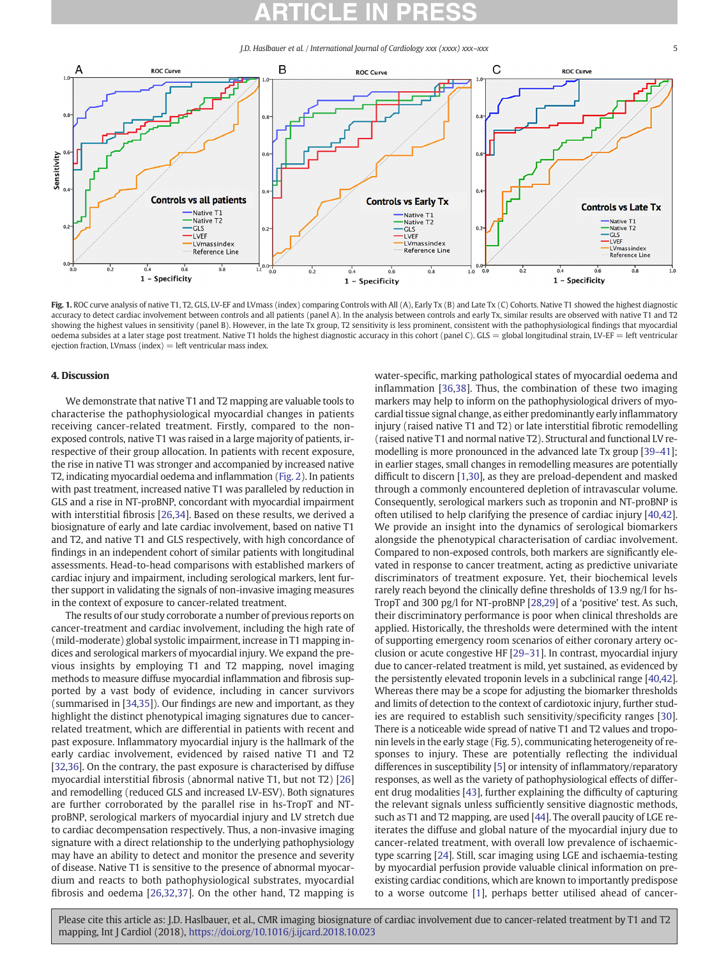J.D. Haslbauer et al. / International Journal of Cardiology xxx (xxxx) xxx–xxx 5

<span id="page-4-0"></span>

Fig. 1. ROC curve analysis of native T1, T2, GLS, LV-EF and LVmass (index) comparing Controls with All (A), Early Tx (B) and Late Tx (C) Cohorts. Native T1 showed the highest diagnostic accuracy to detect cardiac involvement between controls and all patients (panel A). In the analysis between controls and early Tx, similar results are observed with native T1 and T2 showing the highest values in sensitivity (panel B). However, in the late Tx group, T2 sensitivity is less prominent, consistent with the pathophysiological findings that myocardial oedema subsides at a later stage post treatment. Native T1 holds the highest diagnostic accuracy in this cohort (panel C). GLS = global longitudinal strain, LV-EF = left ventricular ejection fraction, LV mass (index)  $=$  left ventricular mass index.

### 4. Discussion

We demonstrate that native T1 and T2 mapping are valuable tools to characterise the pathophysiological myocardial changes in patients receiving cancer-related treatment. Firstly, compared to the nonexposed controls, native T1 was raised in a large majority of patients, irrespective of their group allocation. In patients with recent exposure, the rise in native T1 was stronger and accompanied by increased native T2, indicating myocardial oedema and inflammation [\(Fig. 2](#page-5-0)). In patients with past treatment, increased native T1 was paralleled by reduction in GLS and a rise in NT-proBNP, concordant with myocardial impairment with interstitial fibrosis [[26,](#page-6-0)[34\]](#page-7-0). Based on these results, we derived a biosignature of early and late cardiac involvement, based on native T1 and T2, and native T1 and GLS respectively, with high concordance of findings in an independent cohort of similar patients with longitudinal assessments. Head-to-head comparisons with established markers of cardiac injury and impairment, including serological markers, lent further support in validating the signals of non-invasive imaging measures in the context of exposure to cancer-related treatment.

The results of our study corroborate a number of previous reports on cancer-treatment and cardiac involvement, including the high rate of (mild-moderate) global systolic impairment, increase in T1 mapping indices and serological markers of myocardial injury. We expand the previous insights by employing T1 and T2 mapping, novel imaging methods to measure diffuse myocardial inflammation and fibrosis supported by a vast body of evidence, including in cancer survivors (summarised in [\[34,35](#page-7-0)]). Our findings are new and important, as they highlight the distinct phenotypical imaging signatures due to cancerrelated treatment, which are differential in patients with recent and past exposure. Inflammatory myocardial injury is the hallmark of the early cardiac involvement, evidenced by raised native T1 and T2 [\[32,36](#page-7-0)]. On the contrary, the past exposure is characterised by diffuse myocardial interstitial fibrosis (abnormal native T1, but not T2) [[26\]](#page-6-0) and remodelling (reduced GLS and increased LV-ESV). Both signatures are further corroborated by the parallel rise in hs-TropT and NTproBNP, serological markers of myocardial injury and LV stretch due to cardiac decompensation respectively. Thus, a non-invasive imaging signature with a direct relationship to the underlying pathophysiology may have an ability to detect and monitor the presence and severity of disease. Native T1 is sensitive to the presence of abnormal myocardium and reacts to both pathophysiological substrates, myocardial fibrosis and oedema [[26,](#page-6-0)[32](#page-7-0),[37](#page-7-0)]. On the other hand, T2 mapping is water-specific, marking pathological states of myocardial oedema and inflammation [\[36,38\]](#page-7-0). Thus, the combination of these two imaging markers may help to inform on the pathophysiological drivers of myocardial tissue signal change, as either predominantly early inflammatory injury (raised native T1 and T2) or late interstitial fibrotic remodelling (raised native T1 and normal native T2). Structural and functional LV remodelling is more pronounced in the advanced late Tx group [39–[41](#page-7-0)]; in earlier stages, small changes in remodelling measures are potentially difficult to discern [[1,30](#page-6-0)], as they are preload-dependent and masked through a commonly encountered depletion of intravascular volume. Consequently, serological markers such as troponin and NT-proBNP is often utilised to help clarifying the presence of cardiac injury [[40](#page-7-0),[42\]](#page-7-0). We provide an insight into the dynamics of serological biomarkers alongside the phenotypical characterisation of cardiac involvement. Compared to non-exposed controls, both markers are significantly elevated in response to cancer treatment, acting as predictive univariate discriminators of treatment exposure. Yet, their biochemical levels rarely reach beyond the clinically define thresholds of 13.9 ng/l for hs-TropT and 300 pg/l for NT-proBNP [[28](#page-6-0),[29\]](#page-6-0) of a 'positive' test. As such, their discriminatory performance is poor when clinical thresholds are applied. Historically, the thresholds were determined with the intent of supporting emergency room scenarios of either coronary artery occlusion or acute congestive HF [\[29](#page-6-0)–31]. In contrast, myocardial injury due to cancer-related treatment is mild, yet sustained, as evidenced by the persistently elevated troponin levels in a subclinical range [\[40,42\]](#page-7-0). Whereas there may be a scope for adjusting the biomarker thresholds and limits of detection to the context of cardiotoxic injury, further studies are required to establish such sensitivity/specificity ranges [[30\]](#page-6-0). There is a noticeable wide spread of native T1 and T2 values and troponin levels in the early stage (Fig. 5), communicating heterogeneity of responses to injury. These are potentially reflecting the individual differences in susceptibility [\[5](#page-6-0)] or intensity of inflammatory/reparatory responses, as well as the variety of pathophysiological effects of different drug modalities [\[43](#page-7-0)], further explaining the difficulty of capturing the relevant signals unless sufficiently sensitive diagnostic methods, such as T1 and T2 mapping, are used [\[44](#page-7-0)]. The overall paucity of LGE reiterates the diffuse and global nature of the myocardial injury due to cancer-related treatment, with overall low prevalence of ischaemictype scarring [[24\]](#page-6-0). Still, scar imaging using LGE and ischaemia-testing by myocardial perfusion provide valuable clinical information on preexisting cardiac conditions, which are known to importantly predispose to a worse outcome [\[1\]](#page-6-0), perhaps better utilised ahead of cancer-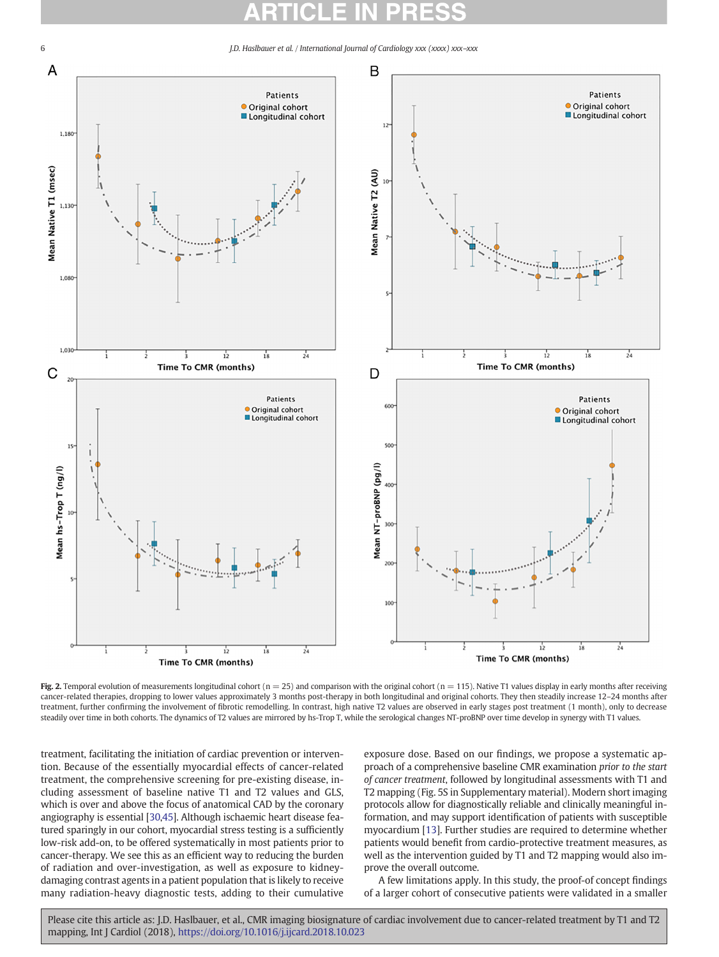<span id="page-5-0"></span>

Fig. 2. Temporal evolution of measurements longitudinal cohort ( $n = 25$ ) and comparison with the original cohort ( $n = 115$ ). Native T1 values display in early months after receiving cancer-related therapies, dropping to lower values approximately 3 months post-therapy in both longitudinal and original cohorts. They then steadily increase 12–24 months after treatment, further confirming the involvement of fibrotic remodelling. In contrast, high native T2 values are observed in early stages post treatment (1 month), only to decrease steadily over time in both cohorts. The dynamics of T2 values are mirrored by hs-Trop T, while the serological changes NT-proBNP over time develop in synergy with T1 values.

treatment, facilitating the initiation of cardiac prevention or intervention. Because of the essentially myocardial effects of cancer-related treatment, the comprehensive screening for pre-existing disease, including assessment of baseline native T1 and T2 values and GLS, which is over and above the focus of anatomical CAD by the coronary angiography is essential [[30](#page-6-0)[,45](#page-7-0)]. Although ischaemic heart disease featured sparingly in our cohort, myocardial stress testing is a sufficiently low-risk add-on, to be offered systematically in most patients prior to cancer-therapy. We see this as an efficient way to reducing the burden of radiation and over-investigation, as well as exposure to kidneydamaging contrast agents in a patient population that is likely to receive many radiation-heavy diagnostic tests, adding to their cumulative exposure dose. Based on our findings, we propose a systematic approach of a comprehensive baseline CMR examination prior to the start of cancer treatment, followed by longitudinal assessments with T1 and T2 mapping (Fig. 5S in Supplementary material). Modern short imaging protocols allow for diagnostically reliable and clinically meaningful information, and may support identification of patients with susceptible myocardium [[13\]](#page-6-0). Further studies are required to determine whether patients would benefit from cardio-protective treatment measures, as well as the intervention guided by T1 and T2 mapping would also improve the overall outcome.

A few limitations apply. In this study, the proof-of concept findings of a larger cohort of consecutive patients were validated in a smaller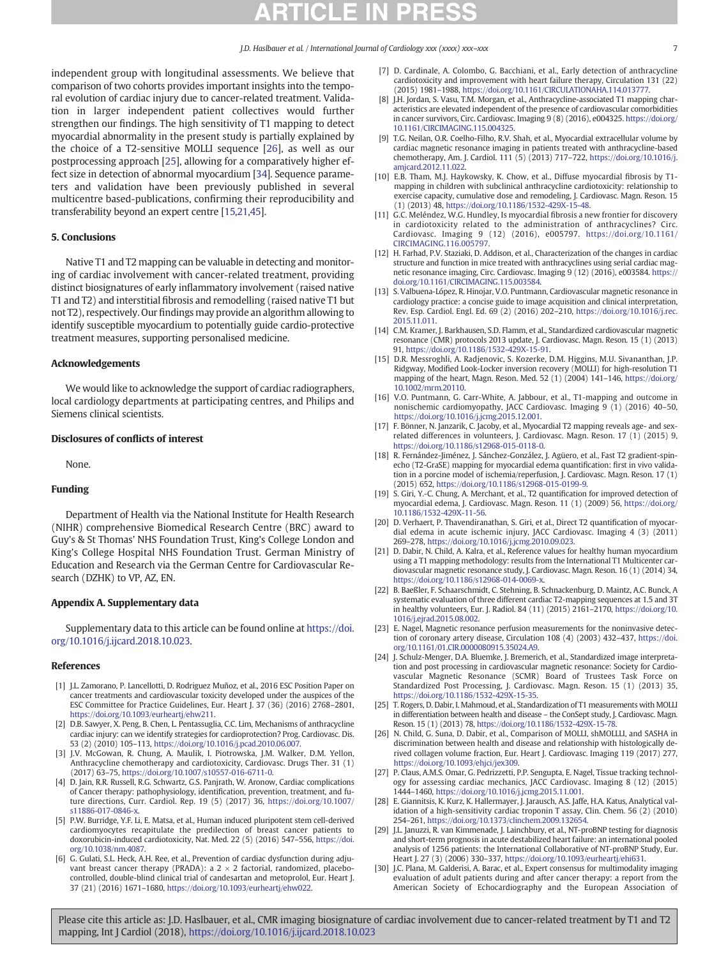<span id="page-6-0"></span>independent group with longitudinal assessments. We believe that comparison of two cohorts provides important insights into the temporal evolution of cardiac injury due to cancer-related treatment. Validation in larger independent patient collectives would further strengthen our findings. The high sensitivity of T1 mapping to detect myocardial abnormality in the present study is partially explained by the choice of a T2-sensitive MOLLI sequence [26], as well as our postprocessing approach [25], allowing for a comparatively higher effect size in detection of abnormal myocardium [\[34](#page-7-0)]. Sequence parameters and validation have been previously published in several multicentre based-publications, confirming their reproducibility and transferability beyond an expert centre [15,21[,45](#page-7-0)].

### 5. Conclusions

Native T1 and T2 mapping can be valuable in detecting and monitoring of cardiac involvement with cancer-related treatment, providing distinct biosignatures of early inflammatory involvement (raised native T1 and T2) and interstitial fibrosis and remodelling (raised native T1 but not T2), respectively. Our findings may provide an algorithm allowing to identify susceptible myocardium to potentially guide cardio-protective treatment measures, supporting personalised medicine.

### Acknowledgements

We would like to acknowledge the support of cardiac radiographers, local cardiology departments at participating centres, and Philips and Siemens clinical scientists.

### Disclosures of conflicts of interest

None.

### Funding

Department of Health via the National Institute for Health Research (NIHR) comprehensive Biomedical Research Centre (BRC) award to Guy's & St Thomas' NHS Foundation Trust, King's College London and King's College Hospital NHS Foundation Trust. German Ministry of Education and Research via the German Centre for Cardiovascular Research (DZHK) to VP, AZ, EN.

### Appendix A. Supplementary data

Supplementary data to this article can be found online at [https://doi.](https://doi.org/10.1016/j.ijcard.2018.10.023) [org/10.1016/j.ijcard.2018.10.023](https://doi.org/10.1016/j.ijcard.2018.10.023).

### References

- [1] J.L. Zamorano, P. Lancellotti, D. Rodriguez Muñoz, et al., 2016 ESC Position Paper on cancer treatments and cardiovascular toxicity developed under the auspices of the ESC Committee for Practice Guidelines, Eur. Heart J. 37 (36) (2016) 2768–2801, <https://doi.org/10.1093/eurheartj/ehw211>.
- [2] D.B. Sawyer, X. Peng, B. Chen, L. Pentassuglia, C.C. Lim, Mechanisms of anthracycline cardiac injury: can we identify strategies for cardioprotection? Prog. Cardiovasc. Dis. 53 (2) (2010) 105–113, <https://doi.org/10.1016/j.pcad.2010.06.007>.
- [3] J.V. McGowan, R. Chung, A. Maulik, I. Piotrowska, J.M. Walker, D.M. Yellon, Anthracycline chemotherapy and cardiotoxicity, Cardiovasc. Drugs Ther. 31 (1) (2017) 63–75, <https://doi.org/10.1007/s10557-016-6711-0>.
- [4] D. Jain, R.R. Russell, R.G. Schwartz, G.S. Panjrath, W. Aronow, Cardiac complications of Cancer therapy: pathophysiology, identification, prevention, treatment, and future directions, Curr. Cardiol. Rep. 19 (5) (2017) 36, [https://doi.org/10.1007/](https://doi.org/10.1007/s11886-017-0846-x) [s11886-017-0846-x](https://doi.org/10.1007/s11886-017-0846-x).
- [5] P.W. Burridge, Y.F. Li, E. Matsa, et al., Human induced pluripotent stem cell-derived cardiomyocytes recapitulate the predilection of breast cancer patients to doxorubicin-induced cardiotoxicity, Nat. Med. 22 (5) (2016) 547–556, [https://doi.](https://doi.org/10.1038/nm.4087) [org/10.1038/nm.4087.](https://doi.org/10.1038/nm.4087)
- [6] G. Gulati, S.L. Heck, A.H. Ree, et al., Prevention of cardiac dysfunction during adjuvant breast cancer therapy (PRADA): a  $2 \times 2$  factorial, randomized, placebocontrolled, double-blind clinical trial of candesartan and metoprolol, Eur. Heart J. 37 (21) (2016) 1671–1680, [https://doi.org/10.1093/eurheartj/ehw022.](https://doi.org/10.1093/eurheartj/ehw022)
- [7] D. Cardinale, A. Colombo, G. Bacchiani, et al., Early detection of anthracycline cardiotoxicity and improvement with heart failure therapy, Circulation 131 (22) (2015) 1981–1988, <https://doi.org/10.1161/CIRCULATIONAHA.114.013777>.
- [8] J.H. Jordan, S. Vasu, T.M. Morgan, et al., Anthracycline-associated T1 mapping characteristics are elevated independent of the presence of cardiovascular comorbidities in cancer survivors, Circ. Cardiovasc. Imaging 9 (8) (2016), e004325. [https://doi.org/](https://doi.org/10.1161/CIRCIMAGING.115.004325) [10.1161/CIRCIMAGING.115.004325](https://doi.org/10.1161/CIRCIMAGING.115.004325).
- [9] T.G. Neilan, O.R. Coelho-Filho, R.V. Shah, et al., Myocardial extracellular volume by cardiac magnetic resonance imaging in patients treated with anthracycline-based chemotherapy, Am. J. Cardiol. 111 (5) (2013) 717–722, [https://doi.org/10.1016/j.](https://doi.org/10.1016/j.amjcard.2012.11.022) [amjcard.2012.11.022](https://doi.org/10.1016/j.amjcard.2012.11.022).
- [10] E.B. Tham, M.J. Haykowsky, K. Chow, et al., Diffuse myocardial fibrosis by T1 mapping in children with subclinical anthracycline cardiotoxicity: relationship to exercise capacity, cumulative dose and remodeling, J. Cardiovasc. Magn. Reson. 15 (1) (2013) 48, <https://doi.org/10.1186/1532-429X-15-48>.
- [11] G.C. Meléndez, W.G. Hundley, Is myocardial fibrosis a new frontier for discovery in cardiotoxicity related to the administration of anthracyclines? Circ. Cardiovasc. Imaging 9 (12) (2016), e005797. [https://doi.org/10.1161/](https://doi.org/10.1161/CIRCIMAGING.116.005797) [CIRCIMAGING.116.005797.](https://doi.org/10.1161/CIRCIMAGING.116.005797)
- [12] H. Farhad, P.V. Staziaki, D. Addison, et al., Characterization of the changes in cardiac structure and function in mice treated with anthracyclines using serial cardiac magnetic resonance imaging, Circ. Cardiovasc. Imaging 9 (12) (2016), e003584. [https://](https://doi.org/10.1161/CIRCIMAGING.115.003584) [doi.org/10.1161/CIRCIMAGING.115.003584](https://doi.org/10.1161/CIRCIMAGING.115.003584).
- [13] S. Valbuena-López, R. Hinojar, V.O. Puntmann, Cardiovascular magnetic resonance in cardiology practice: a concise guide to image acquisition and clinical interpretation, Rev. Esp. Cardiol. Engl. Ed. 69 (2) (2016) 202–210, [https://doi.org/10.1016/j.rec.](https://doi.org/10.1016/j.rec.2015.11.011) [2015.11.011.](https://doi.org/10.1016/j.rec.2015.11.011)
- [14] C.M. Kramer, J. Barkhausen, S.D. Flamm, et al., Standardized cardiovascular magnetic resonance (CMR) protocols 2013 update, J. Cardiovasc. Magn. Reson. 15 (1) (2013) 91, [https://doi.org/10.1186/1532-429X-15-91.](https://doi.org/10.1186/1532-429X-15-91)
- [15] D.R. Messroghli, A. Radjenovic, S. Kozerke, D.M. Higgins, M.U. Sivananthan, J.P. Ridgway, Modified Look-Locker inversion recovery (MOLLI) for high-resolution T1 mapping of the heart, Magn. Reson. Med. 52 (1) (2004) 141–146, [https://doi.org/](https://doi.org/10.1002/mrm.20110) [10.1002/mrm.20110.](https://doi.org/10.1002/mrm.20110)
- [16] V.O. Puntmann, G. Carr-White, A. Jabbour, et al., T1-mapping and outcome in nonischemic cardiomyopathy, JACC Cardiovasc. Imaging 9 (1) (2016) 40–50, [https://doi.org/10.1016/j.jcmg.2015.12.001.](https://doi.org/10.1016/j.jcmg.2015.12.001)
- [17] F. Bönner, N. Janzarik, C. Jacoby, et al., Myocardial T2 mapping reveals age- and sexrelated differences in volunteers, J. Cardiovasc. Magn. Reson. 17 (1) (2015) 9, <https://doi.org/10.1186/s12968-015-0118-0>.
- [18] R. Fernández-Jiménez, J. Sánchez-González, J. Agüero, et al., Fast T2 gradient-spinecho (T2-GraSE) mapping for myocardial edema quantification: first in vivo validation in a porcine model of ischemia/reperfusion, J. Cardiovasc. Magn. Reson. 17 (1) (2015) 652, [https://doi.org/10.1186/s12968-015-0199-9.](https://doi.org/10.1186/s12968-015-0199-9)
- [19] S. Giri, Y.-C. Chung, A. Merchant, et al., T2 quantification for improved detection of myocardial edema, J. Cardiovasc. Magn. Reson. 11 (1) (2009) 56, [https://doi.org/](https://doi.org/10.1186/1532-429X-11-56) [10.1186/1532-429X-11-56.](https://doi.org/10.1186/1532-429X-11-56)
- [20] D. Verhaert, P. Thavendiranathan, S. Giri, et al., Direct T2 quantification of myocardial edema in acute ischemic injury, JACC Cardiovasc. Imaging 4 (3) (2011) 269–278, <https://doi.org/10.1016/j.jcmg.2010.09.023>.
- [21] D. Dabir, N. Child, A. Kalra, et al., Reference values for healthy human myocardium using a T1 mapping methodology: results from the International T1 Multicenter cardiovascular magnetic resonance study, J. Cardiovasc. Magn. Reson. 16 (1) (2014) 34, <https://doi.org/10.1186/s12968-014-0069-x>.
- [22] B. Baeßler, F. Schaarschmidt, C. Stehning, B. Schnackenburg, D. Maintz, A.C. Bunck, A systematic evaluation of three different cardiac T2-mapping sequences at 1.5 and 3T in healthy volunteers, Eur. J. Radiol. 84 (11) (2015) 2161–2170, [https://doi.org/10.](https://doi.org/10.1016/j.ejrad.2015.08.002) [1016/j.ejrad.2015.08.002](https://doi.org/10.1016/j.ejrad.2015.08.002).
- [23] E. Nagel, Magnetic resonance perfusion measurements for the noninvasive detection of coronary artery disease, Circulation 108 (4) (2003) 432–437, [https://doi.](https://doi.org/10.1161/01.CIR.0000080915.35024.A9) [org/10.1161/01.CIR.0000080915.35024.A9](https://doi.org/10.1161/01.CIR.0000080915.35024.A9).
- [24] J. Schulz-Menger, D.A. Bluemke, J. Bremerich, et al., Standardized image interpretation and post processing in cardiovascular magnetic resonance: Society for Cardiovascular Magnetic Resonance (SCMR) Board of Trustees Task Force on Standardized Post Processing, J. Cardiovasc. Magn. Reson. 15 (1) (2013) 35, [https://doi.org/10.1186/1532-429X-15-35.](https://doi.org/10.1186/1532-429X-15-35)
- [25] T. Rogers, D. Dabir, I. Mahmoud, et al., Standardization of T1 measurements with MOLLI in differentiation between health and disease – the ConSept study, J. Cardiovasc. Magn. Reson. 15 (1) (2013) 78, [https://doi.org/10.1186/1532-429X-15-78.](https://doi.org/10.1186/1532-429X-15-78)
- [26] N. Child, G. Suna, D. Dabir, et al., Comparison of MOLLI, shMOLLLI, and SASHA in discrimination between health and disease and relationship with histologically derived collagen volume fraction, Eur. Heart J. Cardiovasc. Imaging 119 (2017) 277, [https://doi.org/10.1093/ehjci/jex309.](https://doi.org/10.1093/ehjci/jex309)
- [27] P. Claus, A.M.S. Omar, G. Pedrizzetti, P.P. Sengupta, E. Nagel, Tissue tracking technology for assessing cardiac mechanics, JACC Cardiovasc. Imaging 8 (12) (2015) 1444–1460, <https://doi.org/10.1016/j.jcmg.2015.11.001>.
- [28] E. Giannitsis, K. Kurz, K. Hallermayer, J. Jarausch, A.S. Jaffe, H.A. Katus, Analytical validation of a high-sensitivity cardiac troponin T assay, Clin. Chem. 56 (2) (2010) 254–261, <https://doi.org/10.1373/clinchem.2009.132654>.
- [29] J.L. Januzzi, R. van Kimmenade, J. Lainchbury, et al., NT-proBNP testing for diagnosis and short-term prognosis in acute destabilized heart failure: an international pooled analysis of 1256 patients: the International Collaborative of NT-proBNP Study, Eur. Heart J. 27 (3) (2006) 330–337, [https://doi.org/10.1093/eurheartj/ehi631.](https://doi.org/10.1093/eurheartj/ehi631)
- [30] J.C. Plana, M. Galderisi, A. Barac, et al., Expert consensus for multimodality imaging evaluation of adult patients during and after cancer therapy: a report from the American Society of Echocardiography and the European Association of